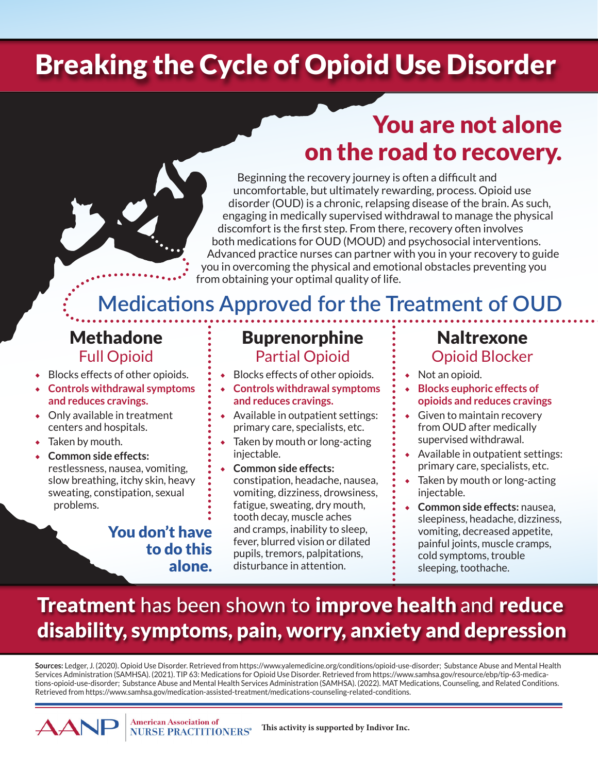# Breaking the Cycle of Opioid Use Disorder

# You are not alone on the road to recovery.

Beginning the recovery journey is often a difficult and uncomfortable, but ultimately rewarding, process. Opioid use disorder (OUD) is a chronic, relapsing disease of the brain. As such, engaging in medically supervised withdrawal to manage the physical discomfort is the first step. From there, recovery often involves both medications for OUD (MOUD) and psychosocial interventions. Advanced practice nurses can partner with you in your recovery to guide you in overcoming the physical and emotional obstacles preventing you from obtaining your optimal quality of life.

# **Medications Approved for the Treatment of OUD**

- ◆ Blocks effects of other opioids.
- **Controls withdrawal symptoms and reduces cravings.**
- ◆ Only available in treatment centers and hospitals.
- ◆ Taken by mouth.
- **Common side effects:** restlessness, nausea, vomiting, slow breathing, itchy skin, heavy sweating, constipation, sexual problems.

#### You don't have to do this alone.

#### Methadone : Buprenorphine : Naltrexone Full Opioid  $\vdots$  Partial Opioid  $\vdots$  Opioid Blocker

- ◆ Blocks effects of other opioids.
- ◆ **Controls withdrawal symptoms and reduces cravings.**
- ◆ Available in outpatient settings: primary care, specialists, etc.
- ◆ Taken by mouth or long-acting injectable.
- ◆ **Common side effects:**  constipation, headache, nausea, vomiting, dizziness, drowsiness, fatigue, sweating, dry mouth, tooth decay, muscle aches and cramps, inability to sleep, fever, blurred vision or dilated pupils, tremors, palpitations, disturbance in attention.

- ◆ Not an opioid.
- **Blocks euphoric effects of opioids and reduces cravings**
- ◆ Given to maintain recovery from OUD after medically supervised withdrawal.
- ◆ Available in outpatient settings: primary care, specialists, etc.
- ◆ Taken by mouth or long-acting injectable.
- **Common side effects: nausea.** sleepiness, headache, dizziness, vomiting, decreased appetite, painful joints, muscle cramps, cold symptoms, trouble sleeping, toothache.

# **Treatment** has been shown to **improve health** and reduce disability, symptoms, pain, worry, anxiety and depression

**Sources:** Ledger, J. (2020). Opioid Use Disorder. Retrieved from https://www.yalemedicine.org/conditions/opioid-use-disorder; Substance Abuse and Mental Health Services Administration (SAMHSA). (2021). TIP 63: Medications for Opioid Use Disorder. Retrieved from https://www.samhsa.gov/resource/ebp/tip-63-medications-opioid-use-disorder; Substance Abuse and Mental Health Services Administration (SAMHSA). (2022). MAT Medications, Counseling, and Related Conditions. Retrieved from https://www.samhsa.gov/medication-assisted-treatment/medications-counseling-related-conditions.

> **American Association of This activity is supported by Indivor Inc. NURSE PRACTITIONERS®**